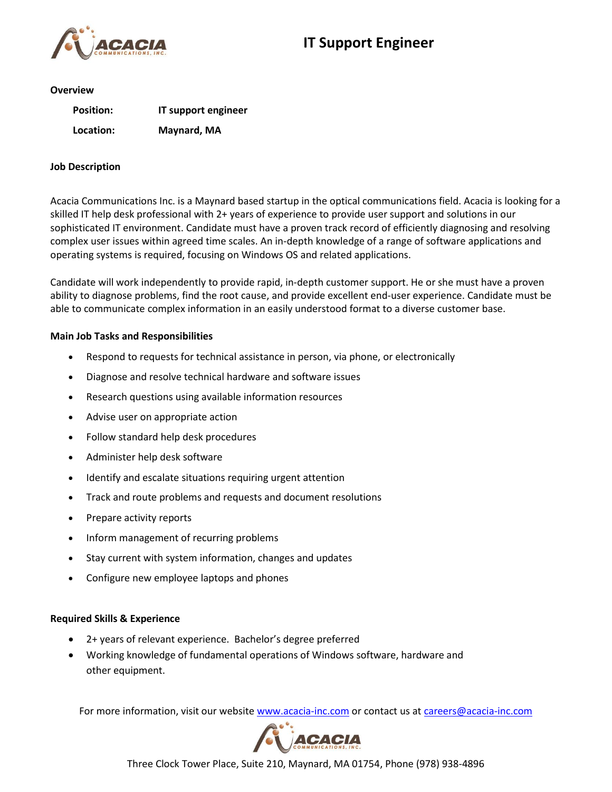

#### **Overview**

| <b>Position:</b> | IT support engineer |
|------------------|---------------------|
| Location:        | Maynard, MA         |

### **Job Description**

Acacia Communications Inc. is a Maynard based startup in the optical communications field. Acacia is looking for a skilled IT help desk professional with 2+ years of experience to provide user support and solutions in our sophisticated IT environment. Candidate must have a proven track record of efficiently diagnosing and resolving complex user issues within agreed time scales. An in-depth knowledge of a range of software applications and operating systems is required, focusing on Windows OS and related applications.

Candidate will work independently to provide rapid, in-depth customer support. He or she must have a proven ability to diagnose problems, find the root cause, and provide excellent end-user experience. Candidate must be able to communicate complex information in an easily understood format to a diverse customer base.

## **Main Job Tasks and Responsibilities**

- Respond to requests for technical assistance in person, via phone, or electronically
- Diagnose and resolve technical hardware and software issues
- Research questions using available information resources
- Advise user on appropriate action
- Follow standard help desk procedures
- Administer help desk software
- Identify and escalate situations requiring urgent attention
- Track and route problems and requests and document resolutions
- Prepare activity reports
- Inform management of recurring problems
- Stay current with system information, changes and updates
- Configure new employee laptops and phones

## **Required Skills & Experience**

- 2+ years of relevant experience. Bachelor's degree preferred
- Working knowledge of fundamental operations of Windows software, hardware and other equipment.

For more information, visit our website [www.acacia-inc.com](http://www.acacia-inc.com/) or contact us at [careers@acacia-inc.com](mailto:careers@acacia-inc.com)